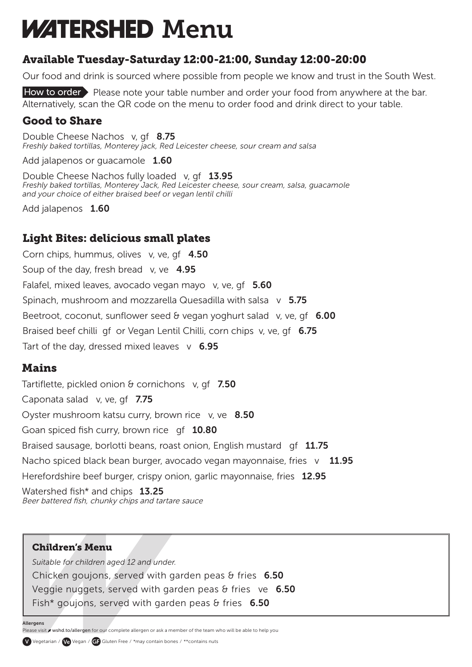# **WATERSHED Menu**

## Available Tuesday-Saturday 12:00-21:00, Sunday 12:00-20:00

Our food and drink is sourced where possible from people we know and trust in the South West.

How to order Please note your table number and order your food from anywhere at the bar. Alternatively, scan the QR code on the menu to order food and drink direct to your table.

### Good to Share

Double Cheese Nachos v, gf 8.75 *Freshly baked tortillas, Monterey jack, Red Leicester cheese, sour cream and salsa*

Add jalapenos or guacamole 1.60

Double Cheese Nachos fully loaded v,  $qf = 13.95$ *Freshly baked tortillas, Monterey Jack, Red Leicester cheese, sour cream, salsa, guacamole and your choice of either braised beef or vegan lentil chilli*

Add jalapenos 1.60

## Light Bites: delicious small plates

Corn chips, hummus, olives v, ve, gf 4.50 Soup of the day, fresh bread v, ve  $4.95$ Falafel, mixed leaves, avocado vegan mayo v, ve, qf 5.60 Spinach, mushroom and mozzarella Quesadilla with salsa  $v$  5.75 Beetroot, coconut, sunflower seed  $\theta$  vegan yoghurt salad v, ve, qf 6.00 Braised beef chilli gf or Vegan Lentil Chilli, corn chips v, ve, gf 6.75 Tart of the day, dressed mixed leaves  $v$  6.95

### **Mains**

Tartiflette, pickled onion  $\theta$  cornichons v, gf 7.50 Caponata salad v, ve, qf 7.75 Oyster mushroom katsu curry, brown rice v, ve 8.50 Goan spiced fish curry, brown rice qf 10.80 Braised sausage, borlotti beans, roast onion, English mustard gf 11.75 Nacho spiced black bean burger, avocado vegan mayonnaise, fries  $v = 11.95$ Herefordshire beef burger, crispy onion, garlic mayonnaise, fries 12.95 Watershed fish\* and chips 13.25 Beer battered fish, chunky chips and tartare sauce

#### Children's Menu

*Suitable for children aged 12 and under.* Chicken goujons, served with garden peas  $\theta$  fries 6.50 Veggie nuggets, served with garden peas  $\theta$  fries ve 6.50 Fish\* goujons, served with garden peas  $\theta$  fries 6.50

Allergens

Please visit w wshd.to/allergen for our complete allergen or ask a member of the team who will be able to help you